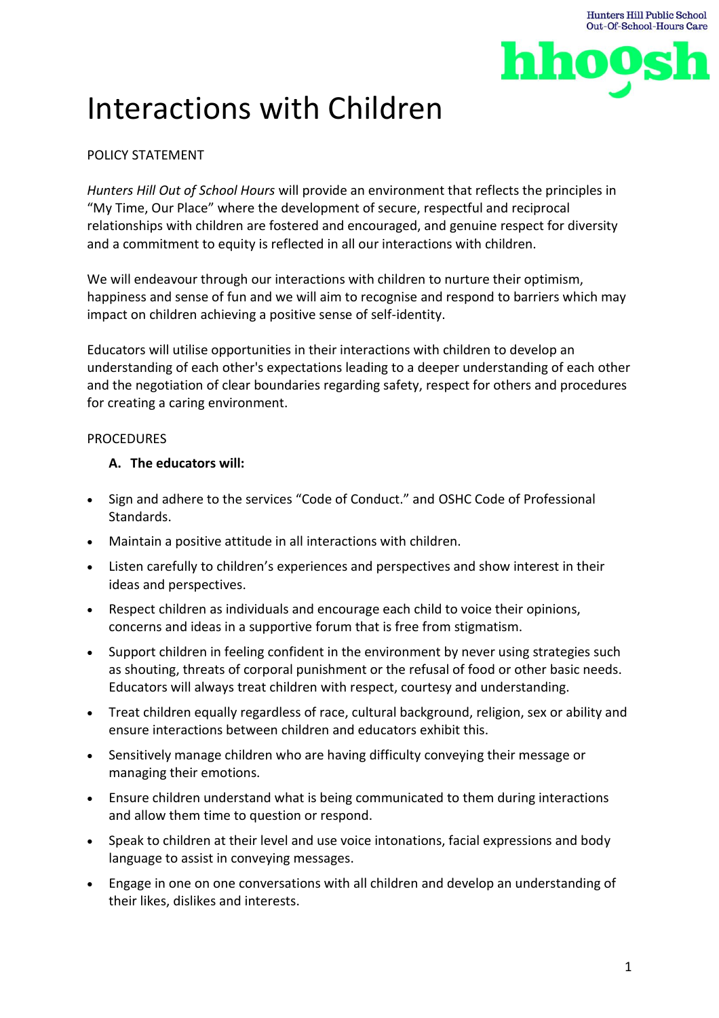

# Interactions with Children

## POLICY STATEMENT

*Hunters Hill Out of School Hours* will provide an environment that reflects the principles in "My Time, Our Place" where the development of secure, respectful and reciprocal relationships with children are fostered and encouraged, and genuine respect for diversity and a commitment to equity is reflected in all our interactions with children.

We will endeavour through our interactions with children to nurture their optimism, happiness and sense of fun and we will aim to recognise and respond to barriers which may impact on children achieving a positive sense of self-identity.

Educators will utilise opportunities in their interactions with children to develop an understanding of each other's expectations leading to a deeper understanding of each other and the negotiation of clear boundaries regarding safety, respect for others and procedures for creating a caring environment.

### PROCEDURES

### **A. The educators will:**

- Sign and adhere to the services "Code of Conduct." and OSHC Code of Professional Standards.
- Maintain a positive attitude in all interactions with children.
- Listen carefully to children's experiences and perspectives and show interest in their ideas and perspectives.
- Respect children as individuals and encourage each child to voice their opinions, concerns and ideas in a supportive forum that is free from stigmatism.
- Support children in feeling confident in the environment by never using strategies such as shouting, threats of corporal punishment or the refusal of food or other basic needs. Educators will always treat children with respect, courtesy and understanding.
- Treat children equally regardless of race, cultural background, religion, sex or ability and ensure interactions between children and educators exhibit this.
- Sensitively manage children who are having difficulty conveying their message or managing their emotions.
- Ensure children understand what is being communicated to them during interactions and allow them time to question or respond.
- Speak to children at their level and use voice intonations, facial expressions and body language to assist in conveying messages.
- Engage in one on one conversations with all children and develop an understanding of their likes, dislikes and interests.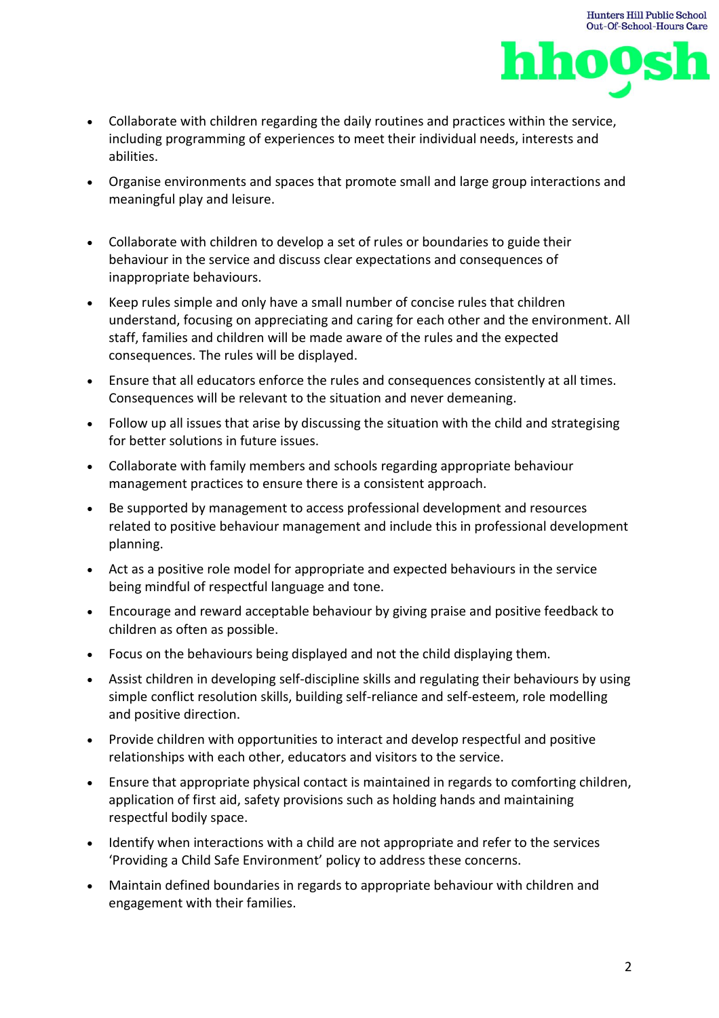

- Collaborate with children regarding the daily routines and practices within the service, including programming of experiences to meet their individual needs, interests and abilities.
- Organise environments and spaces that promote small and large group interactions and meaningful play and leisure.
- Collaborate with children to develop a set of rules or boundaries to guide their behaviour in the service and discuss clear expectations and consequences of inappropriate behaviours.
- Keep rules simple and only have a small number of concise rules that children understand, focusing on appreciating and caring for each other and the environment. All staff, families and children will be made aware of the rules and the expected consequences. The rules will be displayed.
- Ensure that all educators enforce the rules and consequences consistently at all times. Consequences will be relevant to the situation and never demeaning.
- Follow up all issues that arise by discussing the situation with the child and strategising for better solutions in future issues.
- Collaborate with family members and schools regarding appropriate behaviour management practices to ensure there is a consistent approach.
- Be supported by management to access professional development and resources related to positive behaviour management and include this in professional development planning.
- Act as a positive role model for appropriate and expected behaviours in the service being mindful of respectful language and tone.
- Encourage and reward acceptable behaviour by giving praise and positive feedback to children as often as possible.
- Focus on the behaviours being displayed and not the child displaying them.
- Assist children in developing self-discipline skills and regulating their behaviours by using simple conflict resolution skills, building self-reliance and self-esteem, role modelling and positive direction.
- Provide children with opportunities to interact and develop respectful and positive relationships with each other, educators and visitors to the service.
- Ensure that appropriate physical contact is maintained in regards to comforting children, application of first aid, safety provisions such as holding hands and maintaining respectful bodily space.
- Identify when interactions with a child are not appropriate and refer to the services 'Providing a Child Safe Environment' policy to address these concerns.
- Maintain defined boundaries in regards to appropriate behaviour with children and engagement with their families.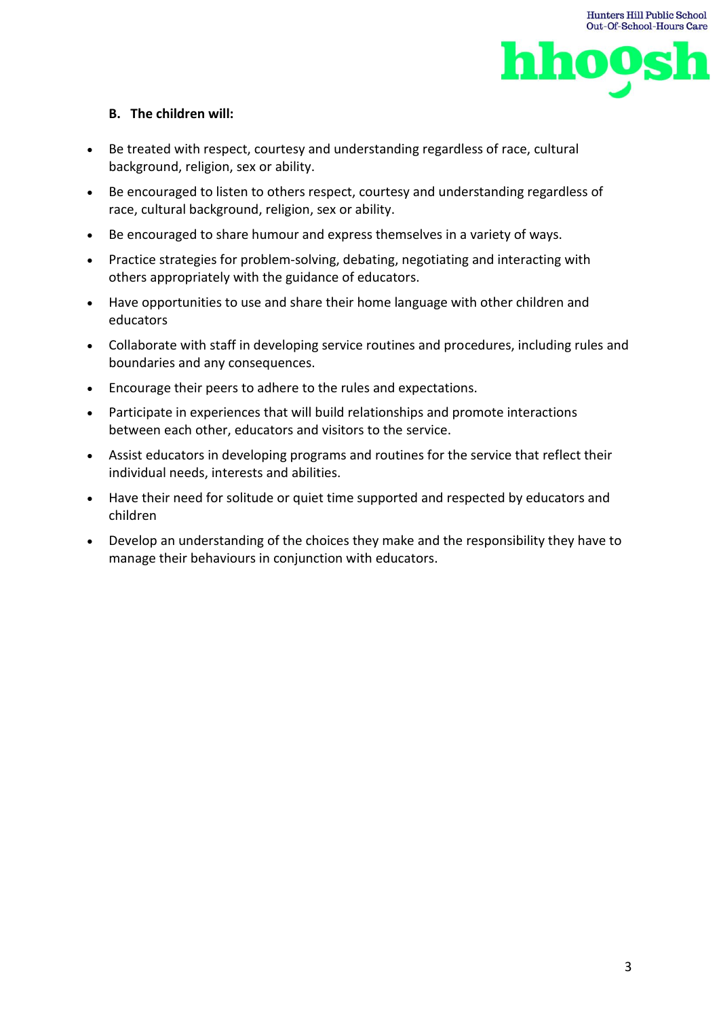



### **B. The children will:**

- Be treated with respect, courtesy and understanding regardless of race, cultural background, religion, sex or ability.
- Be encouraged to listen to others respect, courtesy and understanding regardless of race, cultural background, religion, sex or ability.
- Be encouraged to share humour and express themselves in a variety of ways.
- Practice strategies for problem-solving, debating, negotiating and interacting with others appropriately with the guidance of educators.
- Have opportunities to use and share their home language with other children and educators
- Collaborate with staff in developing service routines and procedures, including rules and boundaries and any consequences.
- Encourage their peers to adhere to the rules and expectations.
- Participate in experiences that will build relationships and promote interactions between each other, educators and visitors to the service.
- Assist educators in developing programs and routines for the service that reflect their individual needs, interests and abilities.
- Have their need for solitude or quiet time supported and respected by educators and children
- Develop an understanding of the choices they make and the responsibility they have to manage their behaviours in conjunction with educators.